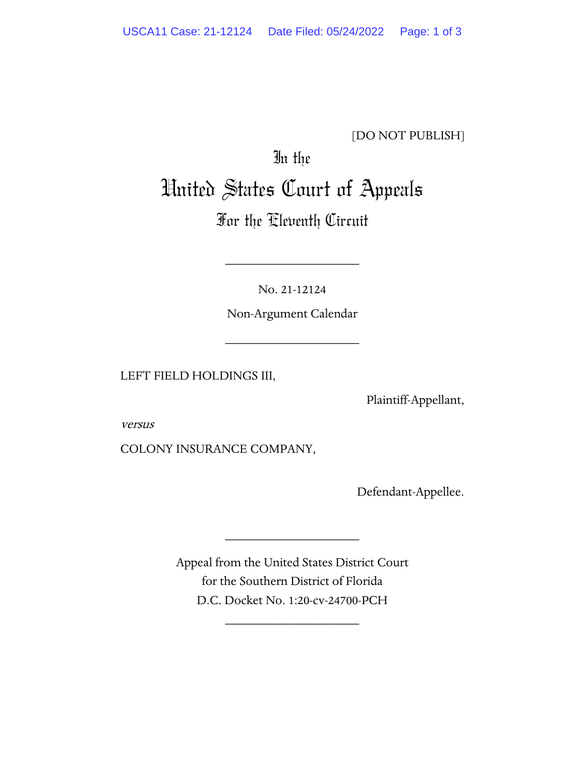## [DO NOT PUBLISH]

# In the United States Court of Appeals

# For the Eleventh Circuit

No. 21-12124

\_\_\_\_\_\_\_\_\_\_\_\_\_\_\_\_\_\_\_\_

Non-Argument Calendar

\_\_\_\_\_\_\_\_\_\_\_\_\_\_\_\_\_\_\_\_

LEFT FIELD HOLDINGS III,

Plaintiff-Appellant,

versus

COLONY INSURANCE COMPANY,

Defendant-Appellee.

Appeal from the United States District Court for the Southern District of Florida D.C. Docket No. 1:20-cv-24700-PCH

\_\_\_\_\_\_\_\_\_\_\_\_\_\_\_\_\_\_\_\_

\_\_\_\_\_\_\_\_\_\_\_\_\_\_\_\_\_\_\_\_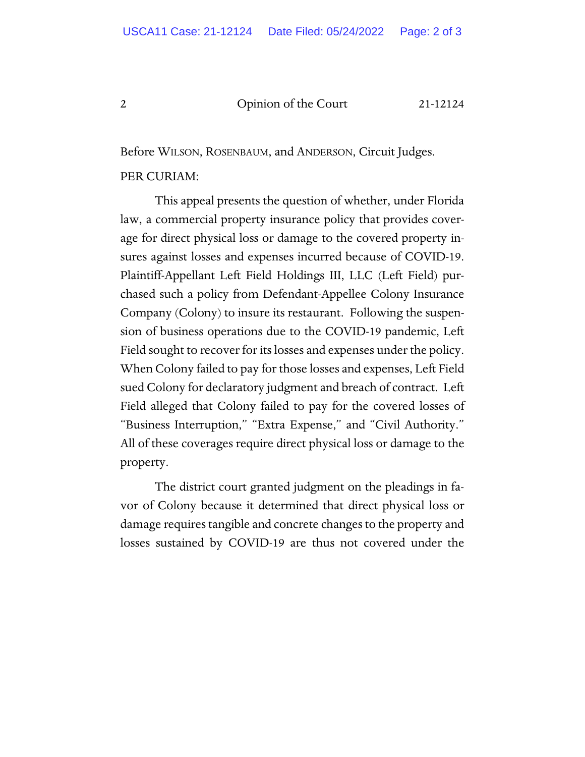#### 2 Opinion of the Court 21-12124

Before WILSON, ROSENBAUM, and ANDERSON, Circuit Judges.

#### PER CURIAM:

This appeal presents the question of whether, under Florida law, a commercial property insurance policy that provides coverage for direct physical loss or damage to the covered property insures against losses and expenses incurred because of COVID-19. Plaintiff-Appellant Left Field Holdings III, LLC (Left Field) purchased such a policy from Defendant-Appellee Colony Insurance Company (Colony) to insure its restaurant. Following the suspension of business operations due to the COVID-19 pandemic, Left Field sought to recover for its losses and expenses under the policy. When Colony failed to pay for those losses and expenses, Left Field sued Colony for declaratory judgment and breach of contract. Left Field alleged that Colony failed to pay for the covered losses of "Business Interruption," "Extra Expense," and "Civil Authority." All of these coverages require direct physical loss or damage to the property.

The district court granted judgment on the pleadings in favor of Colony because it determined that direct physical loss or damage requires tangible and concrete changes to the property and losses sustained by COVID-19 are thus not covered under the